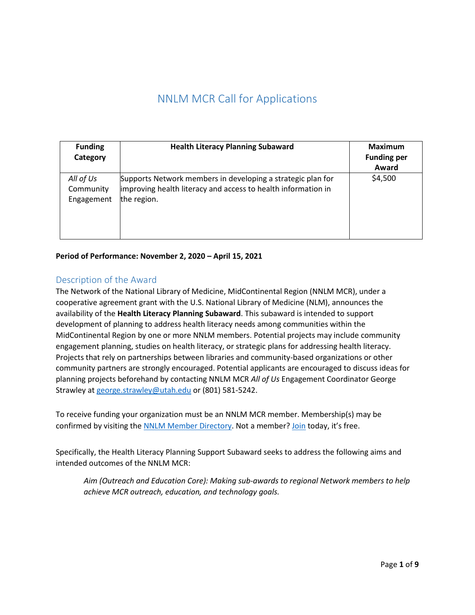# NNLM MCR Call for Applications

| <b>Funding</b><br>Category           | <b>Health Literacy Planning Subaward</b>                                                                                                    | <b>Maximum</b><br><b>Funding per</b><br>Award |
|--------------------------------------|---------------------------------------------------------------------------------------------------------------------------------------------|-----------------------------------------------|
| All of Us<br>Community<br>Engagement | Supports Network members in developing a strategic plan for<br>improving health literacy and access to health information in<br>the region. | \$4,500                                       |

**Period of Performance: November 2, 2020 – April 15, 2021**

# Description of the Award

The Network of the National Library of Medicine, MidContinental Region (NNLM MCR), under a cooperative agreement grant with the U.S. National Library of Medicine (NLM), announces the availability of the **Health Literacy Planning Subaward**. This subaward is intended to support development of planning to address health literacy needs among communities within the MidContinental Region by one or more NNLM members. Potential projects may include community engagement planning, studies on health literacy, or strategic plans for addressing health literacy. Projects that rely on partnerships between libraries and community-based organizations or other community partners are strongly encouraged. Potential applicants are encouraged to discuss ideas for planning projects beforehand by contacting NNLM MCR *All of Us* Engagement Coordinator George Strawley a[t george.strawley@utah.edu](mailto:george.strawley@utah.edu) or (801) 581-5242.

To receive funding your organization must be an NNLM MCR member. Membership(s) may be confirmed by visiting the [NNLM Member Directory.](https://nnlm.gov/mcr/members/directory) Not a member? [Join](https://nnlm.gov/members/join-network) today, it's free.

Specifically, the Health Literacy Planning Support Subaward seeks to address the following aims and intended outcomes of the NNLM MCR:

*Aim (Outreach and Education Core): Making sub-awards to regional Network members to help achieve MCR outreach, education, and technology goals.*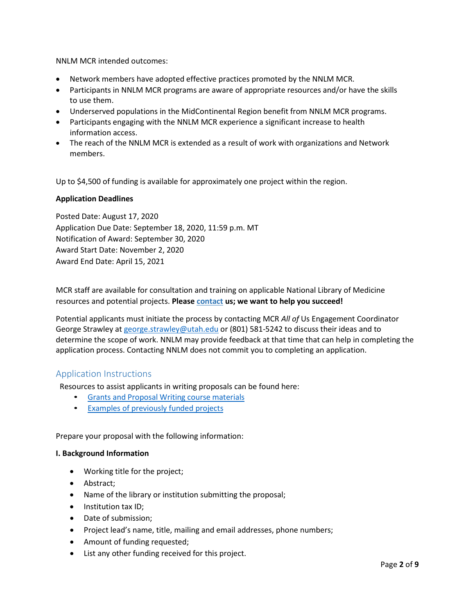NNLM MCR intended outcomes:

- Network members have adopted effective practices promoted by the NNLM MCR.
- Participants in NNLM MCR programs are aware of appropriate resources and/or have the skills to use them.
- Underserved populations in the MidContinental Region benefit from NNLM MCR programs.
- Participants engaging with the NNLM MCR experience a significant increase to health information access.
- The reach of the NNLM MCR is extended as a result of work with organizations and Network members.

Up to \$4,500 of funding is available for approximately one project within the region.

#### **Application Deadlines**

Posted Date: August 17, 2020 Application Due Date: September 18, 2020, 11:59 p.m. MT Notification of Award: September 30, 2020 Award Start Date: November 2, 2020 Award End Date: April 15, 2021

MCR staff are available for consultation and training on applicable National Library of Medicine resources and potential projects. **Pleas[e contact](https://nnlm.gov/mcr/about/contact) us; we want to help you succeed!**

Potential applicants must initiate the process by contacting MCR *All of* Us Engagement Coordinator George Strawley at [george.strawley@utah.edu](mailto:george.strawley@utah.edu) or (801) 581-5242 to discuss their ideas and to determine the scope of work. NNLM may provide feedback at that time that can help in completing the application process. Contacting NNLM does not commit you to completing an application.

# Application Instructions

Resources to assist applicants in writing proposals can be found here:

- Grants and Proposal Writing course [materials](https://nnlm.gov/training/grants)
- Examples of previously [funded projects](https://nnlm.gov/ner/funding/funded)

Prepare your proposal with the following information:

#### **I. Background Information**

- Working title for the project;
- Abstract;
- Name of the library or institution submitting the proposal;
- Institution tax ID;
- Date of submission;
- Project lead's name, title, mailing and email addresses, phone numbers;
- Amount of funding requested;
- List any other funding received for this project.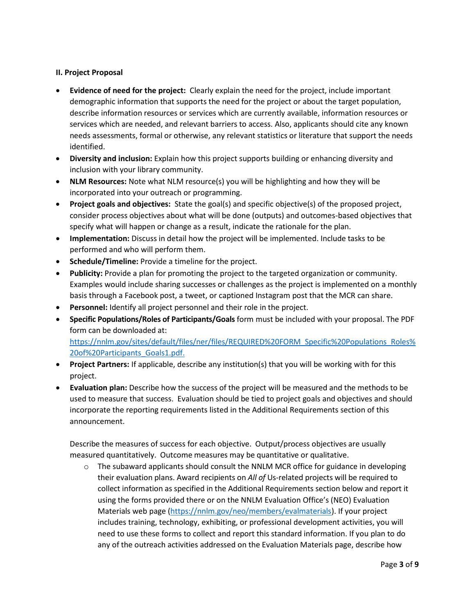# **II. Project Proposal**

- **Evidence of need for the project:** Clearly explain the need for the project, include important demographic information that supports the need for the project or about the target population, describe information resources or services which are currently available, information resources or services which are needed, and relevant barriers to access. Also, applicants should cite any known needs assessments, formal or otherwise, any relevant statistics or literature that support the needs identified.
- **Diversity and inclusion:** Explain how this project supports building or enhancing diversity and inclusion with your library community.
- **NLM Resources:** Note what NLM resource(s) you will be highlighting and how they will be incorporated into your outreach or programming.
- **Project goals and objectives:** State the goal(s) and specific objective(s) of the proposed project, consider process objectives about what will be done (outputs) and outcomes-based objectives that specify what will happen or change as a result, indicate the rationale for the plan.
- **Implementation:** Discuss in detail how the project will be implemented. Include tasks to be performed and who will perform them.
- **Schedule/Timeline:** Provide a timeline for the project.
- **Publicity:** Provide a plan for promoting the project to the targeted organization or community. Examples would include sharing successes or challenges as the project is implemented on a monthly basis through a Facebook post, a tweet, or captioned Instagram post that the MCR can share.
- **Personnel:** Identify all project personnel and their role in the project.
- **Specific Populations/Roles of Participants/Goals** form must be included with your proposal. The PDF form can be downloaded at: [https://nnlm.gov/sites/default/files/ner/files/REQUIRED%20FORM\\_Specific%20Populations\\_Roles%](https://nnlm.gov/sites/default/files/ner/files/REQUIRED%20FORM_Specific%20Populations_Roles%20of%20Participants_Goals1.pdf) [20of%20Participants\\_Goals1.pdf.](https://nnlm.gov/sites/default/files/ner/files/REQUIRED%20FORM_Specific%20Populations_Roles%20of%20Participants_Goals1.pdf)
- **Project Partners:** If applicable, describe any institution(s) that you will be working with for this project.
- **Evaluation plan:** Describe how the success of the project will be measured and the methods to be used to measure that success. Evaluation should be tied to project goals and objectives and should incorporate the reporting requirements listed in the Additional Requirements section of this announcement.

Describe the measures of success for each objective. Output/process objectives are usually measured quantitatively. Outcome measures may be quantitative or qualitative.

 $\circ$  The subaward applicants should consult the NNLM MCR office for guidance in developing their evaluation plans. Award recipients on *All of* Us-related projects will be required to collect information as specified in the Additional Requirements section below and report it using the forms provided there or on the NNLM Evaluation Office's (NEO) Evaluation Materials web page [\(https://nnlm.gov/neo/members/evalmaterials\)](https://nnlm.gov/neo/members/evalmaterials). If your project includes training, technology, exhibiting, or professional development activities, you will need to use these forms to collect and report this standard information. If you plan to do any of the outreach activities addressed on the Evaluation Materials page, describe how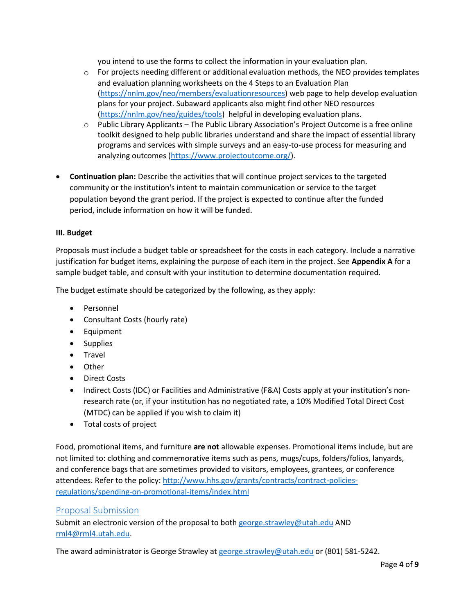you intend to use the forms to collect the information in your evaluation plan.

- $\circ$  For projects needing different or additional evaluation methods, the NEO provides templates and evaluation planning worksheets on the 4 Steps to an Evaluation [Plan](https://nnlm.gov/neo/members/evaluationresources)  [\(https://nnlm.gov/neo/members/evaluationresources\)](https://nnlm.gov/neo/members/evaluationresources) web page to help develop evaluation plans for your project. Subaward applicants also might find other NEO resources [\(https://nnlm.gov/neo/guides/tools\)](https://nnlm.gov/neo/guides/tools) helpful in developing evaluation plans.
- $\circ$  Public Library Applicants The Public Library Association's Project Outcome is a free online toolkit designed to help public libraries understand and share the impact of essential library programs and services with simple surveys and an easy-to-use process for measuring and analyzing outcomes [\(https://www.projectoutcome.org/\)](https://www.projectoutcome.org/).
- **Continuation plan:** Describe the activities that will continue project services to the targeted community or the institution's intent to maintain communication or service to the target population beyond the grant period. If the project is expected to continue after the funded period, include information on how it will be funded.

# **III. Budget**

Proposals must include a budget table or spreadsheet for the costs in each category. Include a narrative justification for budget items, explaining the purpose of each item in the project. See **Appendix A** for a sample budget table, and consult with your institution to determine documentation required.

The budget estimate should be categorized by the following, as they apply:

- Personnel
- Consultant Costs (hourly rate)
- Equipment
- Supplies
- Travel
- Other
- Direct Costs
- Indirect Costs (IDC) or Facilities and Administrative (F&A) Costs apply at your institution's nonresearch rate (or, if your institution has no negotiated rate, a 10% Modified Total Direct Cost (MTDC) can be applied if you wish to claim it)
- Total costs of project

Food, promotional items, and furniture **are not** allowable expenses. Promotional items include, but are not limited to: clothing and commemorative items such as pens, mugs/cups, folders/folios, lanyards, and conference bags that are sometimes provided to visitors, employees, grantees, or conference attendees. Refer to the policy: [http://www.hhs.gov/grants/contracts/contract-policies](http://www.hhs.gov/grants/contracts/contract-policies-regulations/spending-on-promotional-items/index.html)[regulations/spending-on-promotional-items/index.html](http://www.hhs.gov/grants/contracts/contract-policies-regulations/spending-on-promotional-items/index.html)

# Proposal Submission

Submit an electronic version of the proposal to both [george.strawley@utah.edu](mailto:george.strawley@utah.edu) AND [rml4@rml4.utah.edu.](mailto:rml4@rml4.utah.edu)

The award administrator is George Strawley at [george.strawley@utah.edu](mailto:george.strawley@utah.edu) or (801) 581-5242.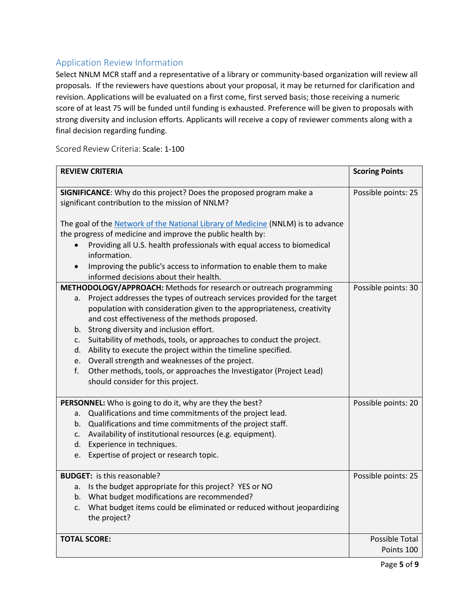# Application Review Information

Select NNLM MCR staff and a representative of a library or community-based organization will review all proposals*.* If the reviewers have questions about your proposal, it may be returned for clarification and revision. Applications will be evaluated on a first come, first served basis; those receiving a numeric score of at least 75 will be funded until funding is exhausted. Preference will be given to proposals with strong diversity and inclusion efforts. Applicants will receive a copy of reviewer comments along with a final decision regarding funding.

Scored Review Criteria: Scale: 1-100

| SIGNIFICANCE: Why do this project? Does the proposed program make a<br>Possible points: 25<br>significant contribution to the mission of NNLM?<br>The goal of the Network of the National Library of Medicine (NNLM) is to advance<br>the progress of medicine and improve the public health by:<br>Providing all U.S. health professionals with equal access to biomedical<br>information.<br>Improving the public's access to information to enable them to make<br>informed decisions about their health.<br>METHODOLOGY/APPROACH: Methods for research or outreach programming<br>Possible points: 30<br>Project addresses the types of outreach services provided for the target<br>a.<br>population with consideration given to the appropriateness, creativity<br>and cost effectiveness of the methods proposed.<br>Strong diversity and inclusion effort.<br>b.<br>Suitability of methods, tools, or approaches to conduct the project.<br>c.<br>Ability to execute the project within the timeline specified.<br>d.<br>Overall strength and weaknesses of the project.<br>e.<br>f.<br>Other methods, tools, or approaches the Investigator (Project Lead)<br>should consider for this project.<br>Possible points: 20<br>PERSONNEL: Who is going to do it, why are they the best?<br>Qualifications and time commitments of the project lead.<br>a.<br>Qualifications and time commitments of the project staff.<br>b.<br>Availability of institutional resources (e.g. equipment).<br>c.<br>Experience in techniques.<br>d.<br>Expertise of project or research topic.<br>e.<br><b>BUDGET:</b> is this reasonable?<br>Possible points: 25<br>Is the budget appropriate for this project? YES or NO<br>a.<br>b. What budget modifications are recommended?<br>What budget items could be eliminated or reduced without jeopardizing<br>c. | <b>REVIEW CRITERIA</b> | <b>Scoring Points</b> |  |
|-----------------------------------------------------------------------------------------------------------------------------------------------------------------------------------------------------------------------------------------------------------------------------------------------------------------------------------------------------------------------------------------------------------------------------------------------------------------------------------------------------------------------------------------------------------------------------------------------------------------------------------------------------------------------------------------------------------------------------------------------------------------------------------------------------------------------------------------------------------------------------------------------------------------------------------------------------------------------------------------------------------------------------------------------------------------------------------------------------------------------------------------------------------------------------------------------------------------------------------------------------------------------------------------------------------------------------------------------------------------------------------------------------------------------------------------------------------------------------------------------------------------------------------------------------------------------------------------------------------------------------------------------------------------------------------------------------------------------------------------------------------------------------------------------------------------------------------------------------|------------------------|-----------------------|--|
|                                                                                                                                                                                                                                                                                                                                                                                                                                                                                                                                                                                                                                                                                                                                                                                                                                                                                                                                                                                                                                                                                                                                                                                                                                                                                                                                                                                                                                                                                                                                                                                                                                                                                                                                                                                                                                                     |                        |                       |  |
|                                                                                                                                                                                                                                                                                                                                                                                                                                                                                                                                                                                                                                                                                                                                                                                                                                                                                                                                                                                                                                                                                                                                                                                                                                                                                                                                                                                                                                                                                                                                                                                                                                                                                                                                                                                                                                                     |                        |                       |  |
|                                                                                                                                                                                                                                                                                                                                                                                                                                                                                                                                                                                                                                                                                                                                                                                                                                                                                                                                                                                                                                                                                                                                                                                                                                                                                                                                                                                                                                                                                                                                                                                                                                                                                                                                                                                                                                                     |                        |                       |  |
|                                                                                                                                                                                                                                                                                                                                                                                                                                                                                                                                                                                                                                                                                                                                                                                                                                                                                                                                                                                                                                                                                                                                                                                                                                                                                                                                                                                                                                                                                                                                                                                                                                                                                                                                                                                                                                                     |                        |                       |  |
|                                                                                                                                                                                                                                                                                                                                                                                                                                                                                                                                                                                                                                                                                                                                                                                                                                                                                                                                                                                                                                                                                                                                                                                                                                                                                                                                                                                                                                                                                                                                                                                                                                                                                                                                                                                                                                                     |                        |                       |  |
|                                                                                                                                                                                                                                                                                                                                                                                                                                                                                                                                                                                                                                                                                                                                                                                                                                                                                                                                                                                                                                                                                                                                                                                                                                                                                                                                                                                                                                                                                                                                                                                                                                                                                                                                                                                                                                                     |                        |                       |  |
|                                                                                                                                                                                                                                                                                                                                                                                                                                                                                                                                                                                                                                                                                                                                                                                                                                                                                                                                                                                                                                                                                                                                                                                                                                                                                                                                                                                                                                                                                                                                                                                                                                                                                                                                                                                                                                                     |                        |                       |  |
|                                                                                                                                                                                                                                                                                                                                                                                                                                                                                                                                                                                                                                                                                                                                                                                                                                                                                                                                                                                                                                                                                                                                                                                                                                                                                                                                                                                                                                                                                                                                                                                                                                                                                                                                                                                                                                                     |                        |                       |  |
|                                                                                                                                                                                                                                                                                                                                                                                                                                                                                                                                                                                                                                                                                                                                                                                                                                                                                                                                                                                                                                                                                                                                                                                                                                                                                                                                                                                                                                                                                                                                                                                                                                                                                                                                                                                                                                                     |                        |                       |  |
|                                                                                                                                                                                                                                                                                                                                                                                                                                                                                                                                                                                                                                                                                                                                                                                                                                                                                                                                                                                                                                                                                                                                                                                                                                                                                                                                                                                                                                                                                                                                                                                                                                                                                                                                                                                                                                                     |                        |                       |  |
|                                                                                                                                                                                                                                                                                                                                                                                                                                                                                                                                                                                                                                                                                                                                                                                                                                                                                                                                                                                                                                                                                                                                                                                                                                                                                                                                                                                                                                                                                                                                                                                                                                                                                                                                                                                                                                                     |                        |                       |  |
|                                                                                                                                                                                                                                                                                                                                                                                                                                                                                                                                                                                                                                                                                                                                                                                                                                                                                                                                                                                                                                                                                                                                                                                                                                                                                                                                                                                                                                                                                                                                                                                                                                                                                                                                                                                                                                                     |                        |                       |  |
|                                                                                                                                                                                                                                                                                                                                                                                                                                                                                                                                                                                                                                                                                                                                                                                                                                                                                                                                                                                                                                                                                                                                                                                                                                                                                                                                                                                                                                                                                                                                                                                                                                                                                                                                                                                                                                                     |                        |                       |  |
|                                                                                                                                                                                                                                                                                                                                                                                                                                                                                                                                                                                                                                                                                                                                                                                                                                                                                                                                                                                                                                                                                                                                                                                                                                                                                                                                                                                                                                                                                                                                                                                                                                                                                                                                                                                                                                                     |                        |                       |  |
|                                                                                                                                                                                                                                                                                                                                                                                                                                                                                                                                                                                                                                                                                                                                                                                                                                                                                                                                                                                                                                                                                                                                                                                                                                                                                                                                                                                                                                                                                                                                                                                                                                                                                                                                                                                                                                                     |                        |                       |  |
|                                                                                                                                                                                                                                                                                                                                                                                                                                                                                                                                                                                                                                                                                                                                                                                                                                                                                                                                                                                                                                                                                                                                                                                                                                                                                                                                                                                                                                                                                                                                                                                                                                                                                                                                                                                                                                                     |                        |                       |  |
|                                                                                                                                                                                                                                                                                                                                                                                                                                                                                                                                                                                                                                                                                                                                                                                                                                                                                                                                                                                                                                                                                                                                                                                                                                                                                                                                                                                                                                                                                                                                                                                                                                                                                                                                                                                                                                                     |                        |                       |  |
|                                                                                                                                                                                                                                                                                                                                                                                                                                                                                                                                                                                                                                                                                                                                                                                                                                                                                                                                                                                                                                                                                                                                                                                                                                                                                                                                                                                                                                                                                                                                                                                                                                                                                                                                                                                                                                                     |                        |                       |  |
|                                                                                                                                                                                                                                                                                                                                                                                                                                                                                                                                                                                                                                                                                                                                                                                                                                                                                                                                                                                                                                                                                                                                                                                                                                                                                                                                                                                                                                                                                                                                                                                                                                                                                                                                                                                                                                                     |                        |                       |  |
|                                                                                                                                                                                                                                                                                                                                                                                                                                                                                                                                                                                                                                                                                                                                                                                                                                                                                                                                                                                                                                                                                                                                                                                                                                                                                                                                                                                                                                                                                                                                                                                                                                                                                                                                                                                                                                                     |                        |                       |  |
|                                                                                                                                                                                                                                                                                                                                                                                                                                                                                                                                                                                                                                                                                                                                                                                                                                                                                                                                                                                                                                                                                                                                                                                                                                                                                                                                                                                                                                                                                                                                                                                                                                                                                                                                                                                                                                                     |                        |                       |  |
|                                                                                                                                                                                                                                                                                                                                                                                                                                                                                                                                                                                                                                                                                                                                                                                                                                                                                                                                                                                                                                                                                                                                                                                                                                                                                                                                                                                                                                                                                                                                                                                                                                                                                                                                                                                                                                                     |                        |                       |  |
|                                                                                                                                                                                                                                                                                                                                                                                                                                                                                                                                                                                                                                                                                                                                                                                                                                                                                                                                                                                                                                                                                                                                                                                                                                                                                                                                                                                                                                                                                                                                                                                                                                                                                                                                                                                                                                                     |                        |                       |  |
|                                                                                                                                                                                                                                                                                                                                                                                                                                                                                                                                                                                                                                                                                                                                                                                                                                                                                                                                                                                                                                                                                                                                                                                                                                                                                                                                                                                                                                                                                                                                                                                                                                                                                                                                                                                                                                                     |                        |                       |  |
|                                                                                                                                                                                                                                                                                                                                                                                                                                                                                                                                                                                                                                                                                                                                                                                                                                                                                                                                                                                                                                                                                                                                                                                                                                                                                                                                                                                                                                                                                                                                                                                                                                                                                                                                                                                                                                                     |                        |                       |  |
|                                                                                                                                                                                                                                                                                                                                                                                                                                                                                                                                                                                                                                                                                                                                                                                                                                                                                                                                                                                                                                                                                                                                                                                                                                                                                                                                                                                                                                                                                                                                                                                                                                                                                                                                                                                                                                                     |                        |                       |  |
|                                                                                                                                                                                                                                                                                                                                                                                                                                                                                                                                                                                                                                                                                                                                                                                                                                                                                                                                                                                                                                                                                                                                                                                                                                                                                                                                                                                                                                                                                                                                                                                                                                                                                                                                                                                                                                                     |                        |                       |  |
|                                                                                                                                                                                                                                                                                                                                                                                                                                                                                                                                                                                                                                                                                                                                                                                                                                                                                                                                                                                                                                                                                                                                                                                                                                                                                                                                                                                                                                                                                                                                                                                                                                                                                                                                                                                                                                                     |                        | the project?          |  |
| <b>TOTAL SCORE:</b><br>Possible Total                                                                                                                                                                                                                                                                                                                                                                                                                                                                                                                                                                                                                                                                                                                                                                                                                                                                                                                                                                                                                                                                                                                                                                                                                                                                                                                                                                                                                                                                                                                                                                                                                                                                                                                                                                                                               |                        |                       |  |
| Points 100                                                                                                                                                                                                                                                                                                                                                                                                                                                                                                                                                                                                                                                                                                                                                                                                                                                                                                                                                                                                                                                                                                                                                                                                                                                                                                                                                                                                                                                                                                                                                                                                                                                                                                                                                                                                                                          |                        |                       |  |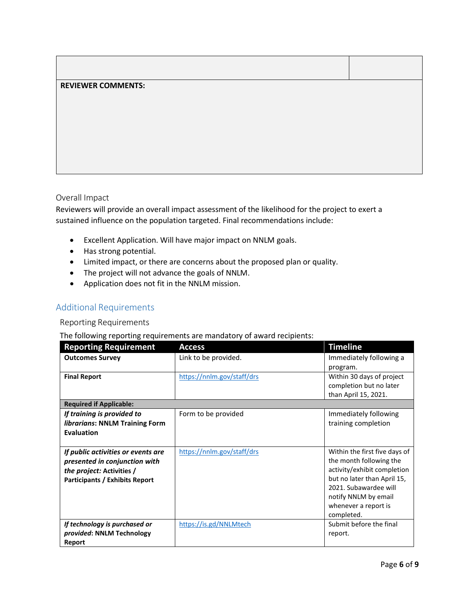# **REVIEWER COMMENTS:**

#### Overall Impact

Reviewers will provide an overall impact assessment of the likelihood for the project to exert a sustained influence on the population targeted. Final recommendations include:

- Excellent Application. Will have major impact on NNLM goals.
- Has strong potential.
- Limited impact, or there are concerns about the proposed plan or quality.
- The project will not advance the goals of NNLM.
- Application does not fit in the NNLM mission.

# Additional Requirements

#### Reporting Requirements

#### The following reporting requirements are mandatory of award recipients:

| <b>Reporting Requirement</b>          | <b>Access</b>              | <b>Timeline</b>               |
|---------------------------------------|----------------------------|-------------------------------|
| <b>Outcomes Survey</b>                | Link to be provided.       | Immediately following a       |
|                                       |                            | program.                      |
| <b>Final Report</b>                   | https://nnlm.gov/staff/drs | Within 30 days of project     |
|                                       |                            | completion but no later       |
|                                       |                            | than April 15, 2021.          |
| <b>Required if Applicable:</b>        |                            |                               |
| If training is provided to            | Form to be provided        | Immediately following         |
| librarians: NNLM Training Form        |                            | training completion           |
| Evaluation                            |                            |                               |
|                                       |                            |                               |
| If public activities or events are    | https://nnlm.gov/staff/drs | Within the first five days of |
| presented in conjunction with         |                            | the month following the       |
| the project: Activities /             |                            | activity/exhibit completion   |
| <b>Participants / Exhibits Report</b> |                            | but no later than April 15,   |
|                                       |                            | 2021. Subawardee will         |
|                                       |                            | notify NNLM by email          |
|                                       |                            | whenever a report is          |
|                                       |                            | completed.                    |
| If technology is purchased or         | https://is.gd/NNLMtech     | Submit before the final       |
| provided: NNLM Technology             |                            | report.                       |
| Report                                |                            |                               |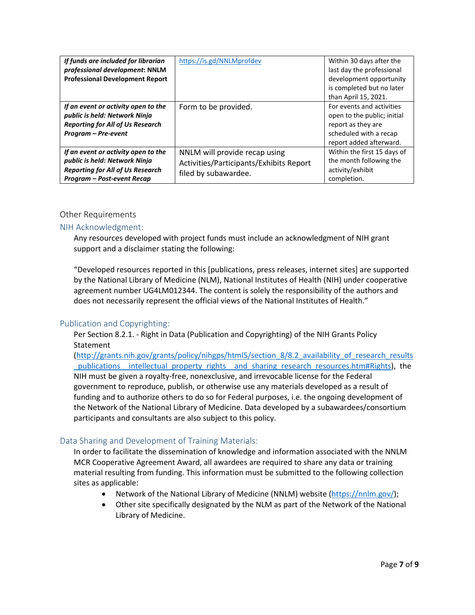| If funds are included for librarian<br>professional development: NNLM<br><b>Professional Development Report</b>                               | https://is.gd/NNLMprofdev                                                                        | Within 30 days after the<br>last day the professional<br>development opportunity<br>is completed but no later<br>than April 15, 2021. |
|-----------------------------------------------------------------------------------------------------------------------------------------------|--------------------------------------------------------------------------------------------------|---------------------------------------------------------------------------------------------------------------------------------------|
| If an event or activity open to the<br>public is held: Network Ninja<br><b>Reporting for All of Us Research</b><br>Program - Pre-event        | Form to be provided.                                                                             | For events and activities<br>open to the public; initial<br>report as they are<br>scheduled with a recap<br>report added afterward.   |
| If an event or activity open to the<br>public is held: Network Ninja<br><b>Reporting for All of Us Research</b><br>Program - Post-event Recap | NNLM will provide recap using<br>Activities/Participants/Exhibits Report<br>filed by subawardee. | Within the first 15 days of<br>the month following the<br>activity/exhibit<br>completion.                                             |

#### Other Requirements

# NIH Acknowledgment:

Any resources developed with project funds must include an acknowledgment of NIH grant support and a disclaimer stating the following:

"Developed resources reported in this [publications, press releases, internet sites] are supported by the National Library of Medicine (NLM), National Institutes of Health (NIH) under cooperative agreement number UG4LM012344. The content is solely the responsibility of the authors and does not necessarily represent the official views of the National Institutes of Health."

# Publication and Copyrighting:

Per Section 8.2.1. - Right in Data (Publication and Copyrighting) of the NIH Grants Policy **Statement** 

[\(http://grants.nih.gov/grants/policy/nihgps/html5/section\\_8/8.2\\_availability\\_of\\_research\\_results](http://grants.nih.gov/grants/policy/nihgps/html5/section_8/8.2_availability_of_research_results_publications__intellectual_property_rights__and_sharing_research_resources.htm#Rights) [\\_publications\\_\\_intellectual\\_property\\_rights\\_\\_and\\_sharing\\_research\\_resources.htm#Rights\)](http://grants.nih.gov/grants/policy/nihgps/html5/section_8/8.2_availability_of_research_results_publications__intellectual_property_rights__and_sharing_research_resources.htm#Rights), the NIH must be given a royalty-free, nonexclusive, and irrevocable license for the Federal government to reproduce, publish, or otherwise use any materials developed as a result of funding and to authorize others to do so for Federal purposes, i.e. the ongoing development of the Network of the National Library of Medicine. Data developed by a subawardees/consortium participants and consultants are also subject to this policy.

# Data Sharing and Development of Training Materials:

In order to facilitate the dissemination of knowledge and information associated with the NNLM MCR Cooperative Agreement Award, all awardees are required to share any data or training material resulting from funding. This information must be submitted to the following collection sites as applicable:

- Network of the National Library of Medicine (NNLM) website [\(https://nnlm.gov/\)](https://nnlm.gov/);
- Other site specifically designated by the NLM as part of the Network of the National Library of Medicine.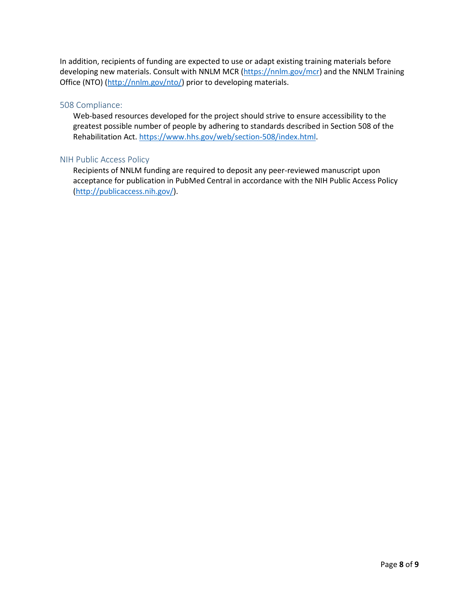In addition, recipients of funding are expected to use or adapt existing training materials before developing new materials. Consult with NNLM MCR [\(https://nnlm.gov/mcr\)](https://nnlm.gov/mcr) and the NNLM Training Office (NTO) [\(http://nnlm.gov/nto/\)](http://nnlm.gov/nto/) prior to developing materials.

#### 508 Compliance:

Web-based resources developed for the project should strive to ensure accessibility to the greatest possible number of people by adhering to standards described in Section 508 of the Rehabilitation Act[. https://www.hhs.gov/web/section-508/index.html.](https://www.hhs.gov/web/section-508/index.html)

#### NIH Public Access Policy

Recipients of NNLM funding are required to deposit any peer-reviewed manuscript upon acceptance for publication in PubMed Central in accordance with the NIH Public Access Policy [\(http://publicaccess.nih.gov/\)](http://publicaccess.nih.gov/).